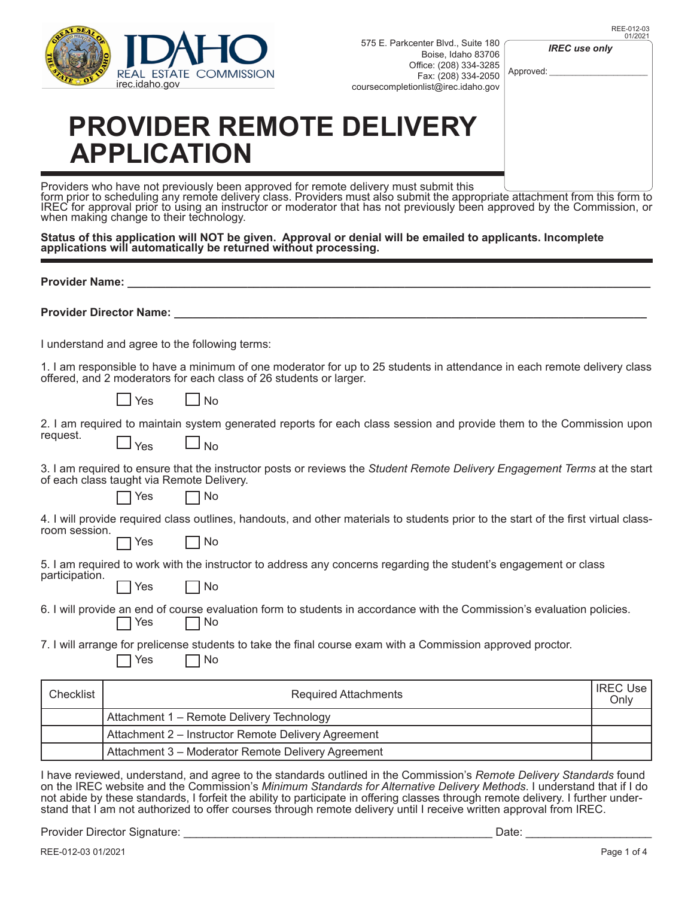

575 E. Parkcenter Blvd., Suite 180 / Bois Office: Fax:

| DIVU., SUILE TOU<br>se, Idaho 83706<br>(208) 334-3285<br>(208) 334-2050<br>@irec.idaho.gov<br>ERY | <b>IREC</b> use only<br>Approved: |  |
|---------------------------------------------------------------------------------------------------|-----------------------------------|--|
| omit this                                                                                         |                                   |  |

## **PROVIDER REMOTE DELIVE APPLICATION**

Providers who have not previously been approved for remote delivery must submit this form prior to scheduling any remote delivery class. Providers must also submit the appropriate attachment from this form to IREC for approval prior to using an instructor or moderator that has not previously been approved by the Commission, or when making change to their technology.

**Status of this application will NOT be given. Approval or denial will be emailed to applicants. Incomplete applications will automatically be returned without processing.**

|                                                                                                                                                      | Provider Name: Value of Array Manuson |                                                                                                                                                                                                |                         |
|------------------------------------------------------------------------------------------------------------------------------------------------------|---------------------------------------|------------------------------------------------------------------------------------------------------------------------------------------------------------------------------------------------|-------------------------|
|                                                                                                                                                      |                                       |                                                                                                                                                                                                |                         |
|                                                                                                                                                      |                                       | I understand and agree to the following terms:                                                                                                                                                 |                         |
|                                                                                                                                                      |                                       | 1. I am responsible to have a minimum of one moderator for up to 25 students in attendance in each remote delivery class<br>offered, and 2 moderators for each class of 26 students or larger. |                         |
|                                                                                                                                                      | <b>Yes</b>                            | l Ino                                                                                                                                                                                          |                         |
| request.                                                                                                                                             | $\sqcup$ Yes                          | 2. I am required to maintain system generated reports for each class session and provide them to the Commission upon<br>$\square$ No                                                           |                         |
|                                                                                                                                                      | ヿ Yes                                 | 3. I am required to ensure that the instructor posts or reviews the Student Remote Delivery Engagement Terms at the start<br>of each class taught via Remote Delivery.<br>$\neg$ No            |                         |
| 4. I will provide required class outlines, handouts, and other materials to students prior to the start of the first virtual class-<br>room session. |                                       |                                                                                                                                                                                                |                         |
|                                                                                                                                                      | Yes                                   | No                                                                                                                                                                                             |                         |
| participation.                                                                                                                                       |                                       | 5. I am required to work with the instructor to address any concerns regarding the student's engagement or class                                                                               |                         |
|                                                                                                                                                      | Yes                                   | No                                                                                                                                                                                             |                         |
|                                                                                                                                                      | Yes                                   | 6. I will provide an end of course evaluation form to students in accordance with the Commission's evaluation policies.<br>No                                                                  |                         |
|                                                                                                                                                      | Yes                                   | 7. I will arrange for prelicense students to take the final course exam with a Commission approved proctor.<br>No                                                                              |                         |
| Checklist                                                                                                                                            |                                       | <b>Required Attachments</b>                                                                                                                                                                    | <b>IREC Use</b><br>Only |
|                                                                                                                                                      |                                       | Attachment 1 - Remote Delivery Technology                                                                                                                                                      |                         |
|                                                                                                                                                      |                                       | Attachment 2 - Instructor Remote Delivery Agreement                                                                                                                                            |                         |
|                                                                                                                                                      |                                       | Attachment 3 - Moderator Remote Delivery Agreement                                                                                                                                             |                         |

I have reviewed, understand, and agree to the standards outlined in the Commission's *Remote Delivery Standards* found on the IREC website and the Commission's *Minimum Standards for Alternative Delivery Methods*. I understand that if I do not abide by these standards, I forfeit the ability to participate in offering classes through remote delivery. I further under-<br>stand that I am not authorized to offer courses through remote delivery until I receive writt

Provider Director Signature: \_\_\_\_\_\_\_\_\_\_\_\_\_\_\_\_\_\_\_\_\_\_\_\_\_\_\_\_\_\_\_\_\_\_\_\_\_\_\_\_\_\_\_\_\_\_\_\_\_ Date: \_\_\_\_\_\_\_\_\_\_\_\_\_\_\_\_\_\_\_\_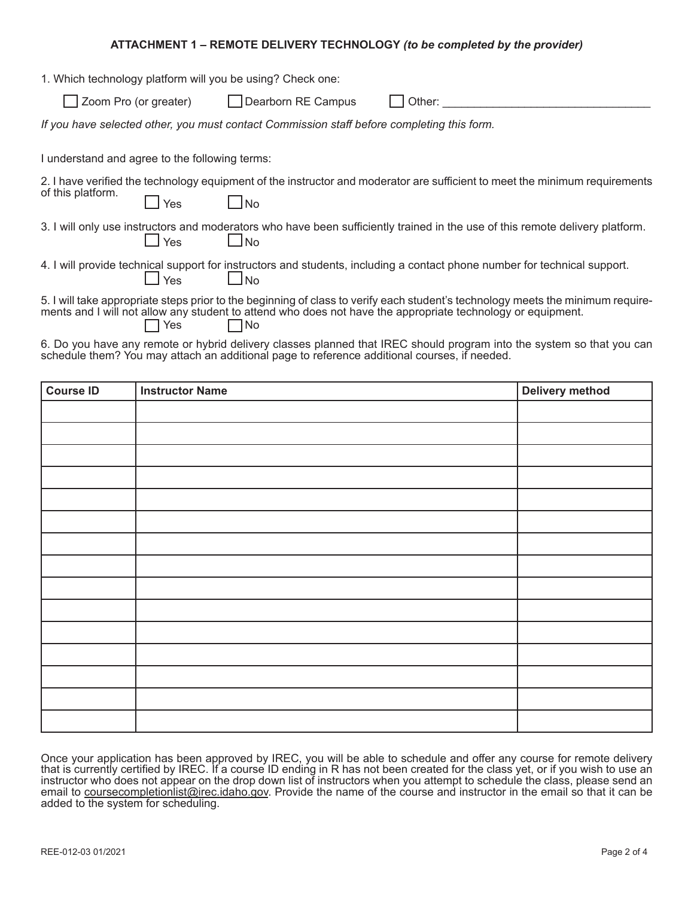## **ATTACHMENT 1 – REMOTE DELIVERY TECHNOLOGY** *(to be completed by the provider)*

| 1. Which technology platform will you be using? Check one:                                                                                                                                                                                                            |                                                                                                                                            |  |  |
|-----------------------------------------------------------------------------------------------------------------------------------------------------------------------------------------------------------------------------------------------------------------------|--------------------------------------------------------------------------------------------------------------------------------------------|--|--|
|                                                                                                                                                                                                                                                                       | Zoom Pro (or greater) Dearborn RE Campus<br>Other:                                                                                         |  |  |
| If you have selected other, you must contact Commission staff before completing this form.                                                                                                                                                                            |                                                                                                                                            |  |  |
| I understand and agree to the following terms:                                                                                                                                                                                                                        |                                                                                                                                            |  |  |
| of this platform.<br>Yes                                                                                                                                                                                                                                              | 2. I have verified the technology equipment of the instructor and moderator are sufficient to meet the minimum requirements<br>l Ino       |  |  |
| $\overline{\phantom{a}}$ Yes                                                                                                                                                                                                                                          | 3. I will only use instructors and moderators who have been sufficiently trained in the use of this remote delivery platform.<br>$\Box$ No |  |  |
| $\perp$ Yes                                                                                                                                                                                                                                                           | 4. I will provide technical support for instructors and students, including a contact phone number for technical support.<br>$\Box$ No     |  |  |
| 5. I will take appropriate steps prior to the beginning of class to verify each student's technology meets the minimum require-<br>ments and I will not allow any student to attend who does not have the appropriate technology or equipment.<br>$\Box$ Yes<br>   No |                                                                                                                                            |  |  |

6. Do you have any remote or hybrid delivery classes planned that IREC should program into the system so that you can schedule them? You may attach an additional page to reference additional courses, if needed.

| <b>Course ID</b> | <b>Instructor Name</b> | Delivery method |
|------------------|------------------------|-----------------|
|                  |                        |                 |
|                  |                        |                 |
|                  |                        |                 |
|                  |                        |                 |
|                  |                        |                 |
|                  |                        |                 |
|                  |                        |                 |
|                  |                        |                 |
|                  |                        |                 |
|                  |                        |                 |
|                  |                        |                 |
|                  |                        |                 |
|                  |                        |                 |
|                  |                        |                 |
|                  |                        |                 |

Once your application has been approved by IREC, you will be able to schedule and offer any course for remote delivery that is currently certified by IREC. If a course ID ending in R has not been created for the class yet, or if you wish to use an instructor who does not appear on the drop down list of instructors when you attempt to schedule the class, please send an email to coursecompletionlist@irec.idaho.gov. Provide the name of the course and instructor in the email so that it can be added to the system for scheduling.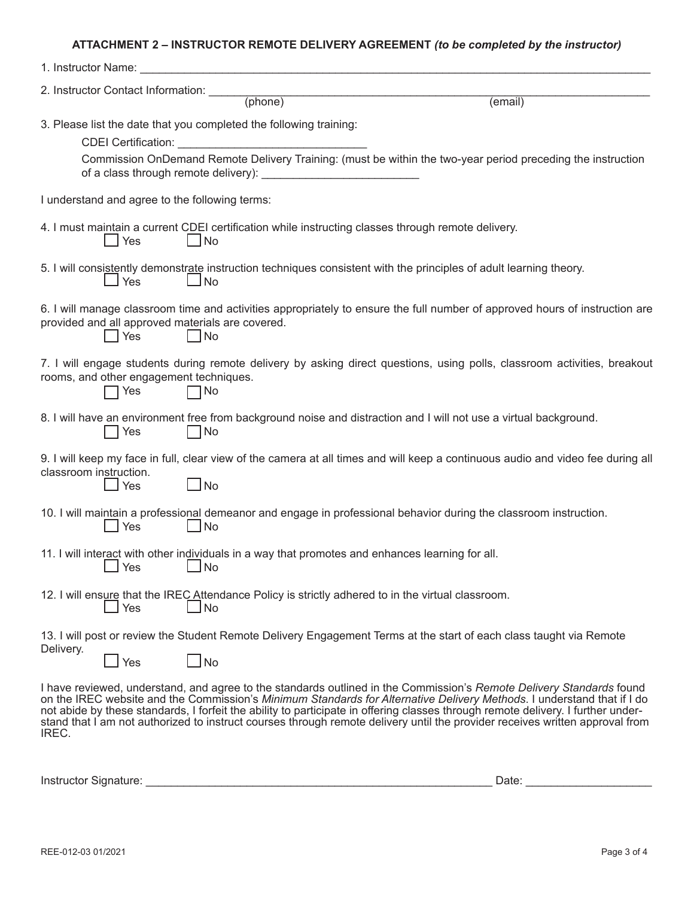## **ATTACHMENT 2 – INSTRUCTOR REMOTE DELIVERY AGREEMENT** *(to be completed by the instructor)*

| 1. Instructor Name:                                     |                                                                                                                         |                                                                                                                                                                                                                                                                                                                                                                                                                                                                                                                    |
|---------------------------------------------------------|-------------------------------------------------------------------------------------------------------------------------|--------------------------------------------------------------------------------------------------------------------------------------------------------------------------------------------------------------------------------------------------------------------------------------------------------------------------------------------------------------------------------------------------------------------------------------------------------------------------------------------------------------------|
| 2. Instructor Contact Information: ____                 | (hone)                                                                                                                  |                                                                                                                                                                                                                                                                                                                                                                                                                                                                                                                    |
|                                                         |                                                                                                                         | (email)                                                                                                                                                                                                                                                                                                                                                                                                                                                                                                            |
| CDEI Certification:                                     | 3. Please list the date that you completed the following training:                                                      |                                                                                                                                                                                                                                                                                                                                                                                                                                                                                                                    |
|                                                         |                                                                                                                         | Commission OnDemand Remote Delivery Training: (must be within the two-year period preceding the instruction                                                                                                                                                                                                                                                                                                                                                                                                        |
|                                                         |                                                                                                                         |                                                                                                                                                                                                                                                                                                                                                                                                                                                                                                                    |
| I understand and agree to the following terms:          |                                                                                                                         |                                                                                                                                                                                                                                                                                                                                                                                                                                                                                                                    |
| Yes                                                     | 4. I must maintain a current CDEI certification while instructing classes through remote delivery.<br>$\blacksquare$ No |                                                                                                                                                                                                                                                                                                                                                                                                                                                                                                                    |
| Yes                                                     | $\sqcup$ No                                                                                                             | 5. I will consistently demonstrate instruction techniques consistent with the principles of adult learning theory.                                                                                                                                                                                                                                                                                                                                                                                                 |
| provided and all approved materials are covered.<br>Yes | No                                                                                                                      | 6. I will manage classroom time and activities appropriately to ensure the full number of approved hours of instruction are                                                                                                                                                                                                                                                                                                                                                                                        |
| rooms, and other engagement techniques.<br>Yes          | No                                                                                                                      | 7. I will engage students during remote delivery by asking direct questions, using polls, classroom activities, breakout                                                                                                                                                                                                                                                                                                                                                                                           |
| Yes                                                     | No                                                                                                                      | 8. I will have an environment free from background noise and distraction and I will not use a virtual background.                                                                                                                                                                                                                                                                                                                                                                                                  |
| classroom instruction.<br>Yes                           | $\Box$ No                                                                                                               | 9. I will keep my face in full, clear view of the camera at all times and will keep a continuous audio and video fee during all                                                                                                                                                                                                                                                                                                                                                                                    |
| Yes                                                     | No                                                                                                                      | 10. I will maintain a professional demeanor and engage in professional behavior during the classroom instruction.                                                                                                                                                                                                                                                                                                                                                                                                  |
| Yes                                                     | 11. I will interact with other individuals in a way that promotes and enhances learning for all.<br>No                  |                                                                                                                                                                                                                                                                                                                                                                                                                                                                                                                    |
| $\Box$ Yes                                              | 12. I will ensure that the IREC Attendance Policy is strictly adhered to in the virtual classroom.<br>$\Box$ No         |                                                                                                                                                                                                                                                                                                                                                                                                                                                                                                                    |
|                                                         |                                                                                                                         | 13. I will post or review the Student Remote Delivery Engagement Terms at the start of each class taught via Remote                                                                                                                                                                                                                                                                                                                                                                                                |
| Delivery.<br>Yes                                        | $\Box$ No                                                                                                               |                                                                                                                                                                                                                                                                                                                                                                                                                                                                                                                    |
| IREC.                                                   |                                                                                                                         | I have reviewed, understand, and agree to the standards outlined in the Commission's Remote Delivery Standards found<br>on the IREC website and the Commission's Minimum Standards for Alternative Delivery Methods. I understand that if I do<br>not abide by these standards, I forfeit the ability to participate in offering classes through remote delivery. I further under-<br>stand that I am not authorized to instruct courses through remote delivery until the provider receives written approval from |

Instructor Signature: \_\_\_\_\_\_\_\_\_\_\_\_\_\_\_\_\_\_\_\_\_\_\_\_\_\_\_\_\_\_\_\_\_\_\_\_\_\_\_\_\_\_\_\_\_\_\_\_\_\_\_\_\_\_\_ Date: \_\_\_\_\_\_\_\_\_\_\_\_\_\_\_\_\_\_\_\_